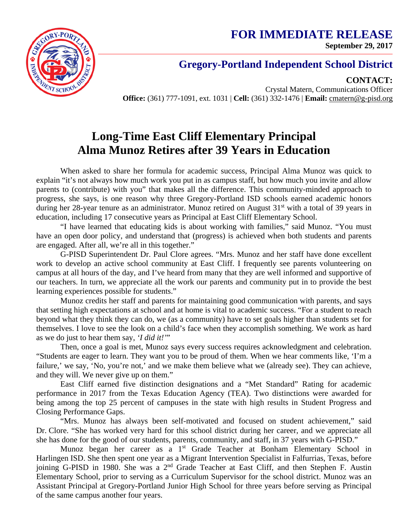**FOR IMMEDIATE RELEASE September 29, 2017**



## **Gregory-Portland Independent School District**

**CONTACT:**

Crystal Matern, Communications Officer **Office:** (361) 777-1091, ext. 1031 | **Cell:** (361) 332-1476 | **Email:** cmatern@g-pisd.org

## **Long-Time East Cliff Elementary Principal Alma Munoz Retires after 39 Years in Education**

When asked to share her formula for academic success, Principal Alma Munoz was quick to explain "it's not always how much work you put in as campus staff, but how much you invite and allow parents to (contribute) with you" that makes all the difference. This community-minded approach to progress, she says, is one reason why three Gregory-Portland ISD schools earned academic honors during her 28-year tenure as an administrator. Munoz retired on August 31<sup>st</sup> with a total of 39 years in education, including 17 consecutive years as Principal at East Cliff Elementary School.

"I have learned that educating kids is about working with families," said Munoz. "You must have an open door policy, and understand that (progress) is achieved when both students and parents are engaged. After all, we're all in this together."

G-PISD Superintendent Dr. Paul Clore agrees. "Mrs. Munoz and her staff have done excellent work to develop an active school community at East Cliff. I frequently see parents volunteering on campus at all hours of the day, and I've heard from many that they are well informed and supportive of our teachers. In turn, we appreciate all the work our parents and community put in to provide the best learning experiences possible for students."

Munoz credits her staff and parents for maintaining good communication with parents, and says that setting high expectations at school and at home is vital to academic success. "For a student to reach beyond what they think they can do, we (as a community) have to set goals higher than students set for themselves. I love to see the look on a child's face when they accomplish something. We work as hard as we do just to hear them say, *'I did it!'*"

Then, once a goal is met, Munoz says every success requires acknowledgment and celebration. "Students are eager to learn. They want you to be proud of them. When we hear comments like, 'I'm a failure,' we say, 'No, you're not,' and we make them believe what we (already see). They can achieve, and they will. We never give up on them."

East Cliff earned five distinction designations and a "Met Standard" Rating for academic performance in 2017 from the Texas Education Agency (TEA). Two distinctions were awarded for being among the top 25 percent of campuses in the state with high results in Student Progress and Closing Performance Gaps.

"Mrs. Munoz has always been self-motivated and focused on student achievement," said Dr. Clore. "She has worked very hard for this school district during her career, and we appreciate all she has done for the good of our students, parents, community, and staff, in 37 years with G-PISD."

Munoz began her career as a  $1<sup>st</sup>$  Grade Teacher at Bonham Elementary School in Harlingen ISD. She then spent one year as a Migrant Intervention Specialist in Falfurrias, Texas, before joining G-PISD in 1980. She was a 2<sup>nd</sup> Grade Teacher at East Cliff, and then Stephen F. Austin Elementary School, prior to serving as a Curriculum Supervisor for the school district. Munoz was an Assistant Principal at Gregory-Portland Junior High School for three years before serving as Principal of the same campus another four years.